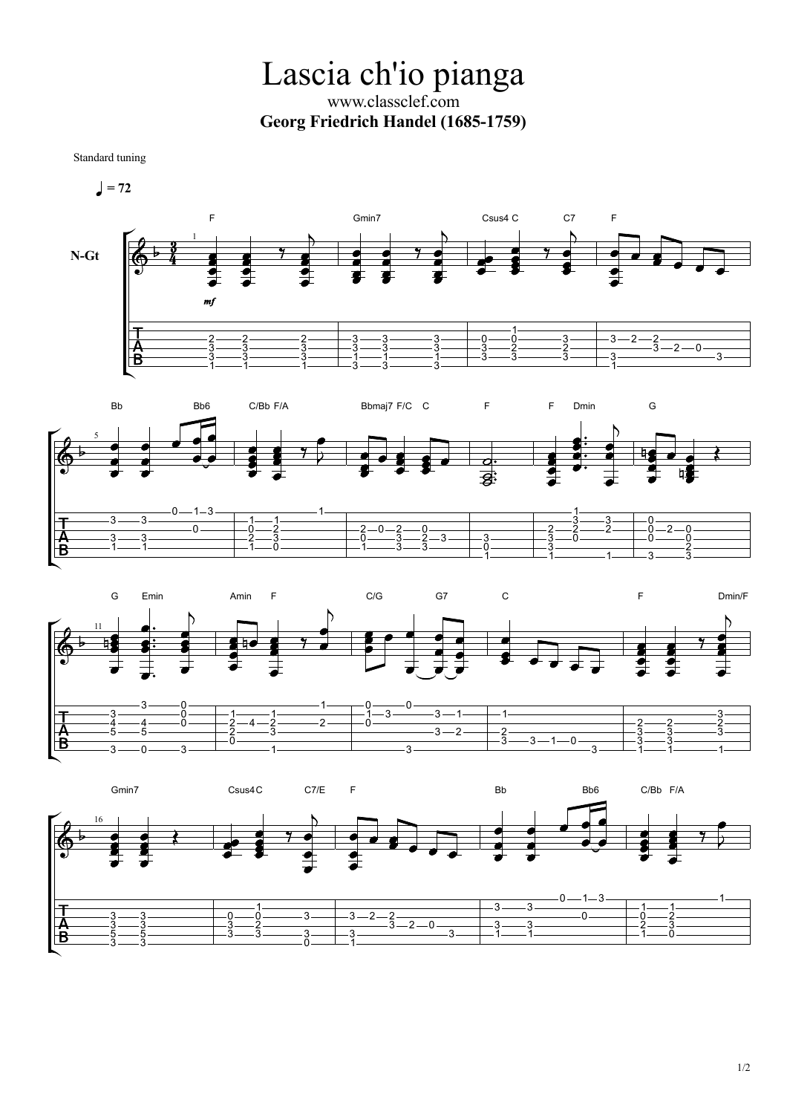Lascia ch'io pianga www.classclef.com **Georg Friedrich Handel (1685-1759)**

Standard tuning